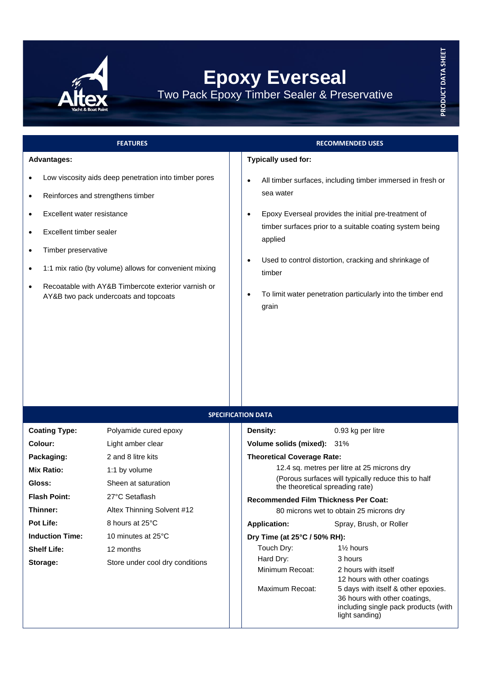

## **Epoxy Everseal** Two Pack Epoxy Timber Sealer & Preservative

## **FEATURES RECOMMENDED USES Advantages:** • Low viscosity aids deep penetration into timber pores • Reinforces and strengthens timber • Excellent water resistance • Excellent timber sealer **Typically used for:** sea water • Epoxy Everseal provides the initial pre-treatment of

- Timber preservative
- 1:1 mix ratio (by volume) allows for convenient mixing
- Recoatable with AY&B Timbercote exterior varnish or AY&B two pack undercoats and topcoats
- All timber surfaces, including timber immersed in fresh or
- timber surfaces prior to a suitable coating system being applied
- Used to control distortion, cracking and shrinkage of timber
- To limit water penetration particularly into the timber end grain

| <b>SPECIFICATION DATA</b> |                                 |                                                                                        |                                                                                                                                |  |
|---------------------------|---------------------------------|----------------------------------------------------------------------------------------|--------------------------------------------------------------------------------------------------------------------------------|--|
| <b>Coating Type:</b>      | Polyamide cured epoxy           | Density:                                                                               | 0.93 kg per litre                                                                                                              |  |
| Colour:                   | Light amber clear               | Volume solids (mixed): 31%                                                             |                                                                                                                                |  |
| Packaging:                | 2 and 8 litre kits              | <b>Theoretical Coverage Rate:</b>                                                      |                                                                                                                                |  |
| <b>Mix Ratio:</b>         | 1:1 by volume                   | 12.4 sq. metres per litre at 25 microns dry                                            |                                                                                                                                |  |
| Gloss:                    | Sheen at saturation             | (Porous surfaces will typically reduce this to half<br>the theoretical spreading rate) |                                                                                                                                |  |
| <b>Flash Point:</b>       | 27°C Setaflash                  | <b>Recommended Film Thickness Per Coat:</b>                                            |                                                                                                                                |  |
| Thinner:                  | Altex Thinning Solvent #12      | 80 microns wet to obtain 25 microns dry                                                |                                                                                                                                |  |
| <b>Pot Life:</b>          | 8 hours at 25°C                 | <b>Application:</b>                                                                    | Spray, Brush, or Roller                                                                                                        |  |
| <b>Induction Time:</b>    | 10 minutes at 25°C              | Dry Time (at 25°C / 50% RH):                                                           |                                                                                                                                |  |
| <b>Shelf Life:</b>        | 12 months                       | Touch Dry:                                                                             | 1% hours                                                                                                                       |  |
| Storage:                  | Store under cool dry conditions | Hard Dry:                                                                              | 3 hours                                                                                                                        |  |
|                           |                                 | Minimum Recoat:                                                                        | 2 hours with itself                                                                                                            |  |
|                           |                                 |                                                                                        | 12 hours with other coatings                                                                                                   |  |
|                           |                                 | Maximum Recoat:                                                                        | 5 days with itself & other epoxies.<br>36 hours with other coatings,<br>including single pack products (with<br>light sanding) |  |